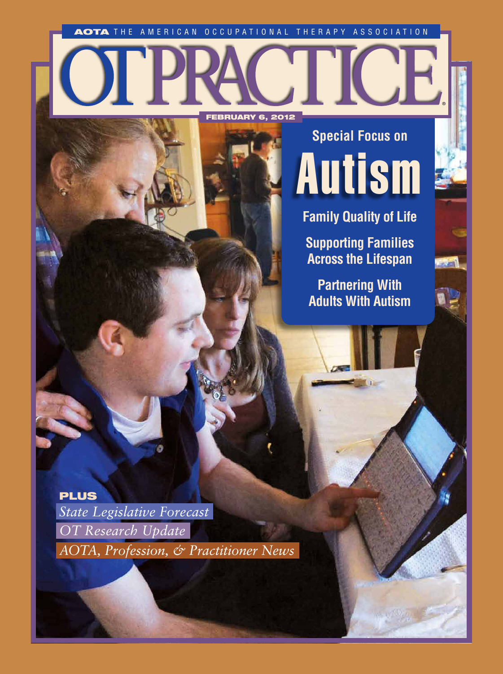AOTA THE AMERICAN OCCUPATIONAL THERAPY ASSOCIATION

FEBRUARY 6, 2012

® Autism **Special Focus on**

 $-20$ 

**Family Quality of Life**

**Supporting Families Across the Lifespan**

**Partnering With Adults With Autism**

PLUS *OT Research Update AOTA, Profession, & Practitioner News*

*State Legislative Forecast*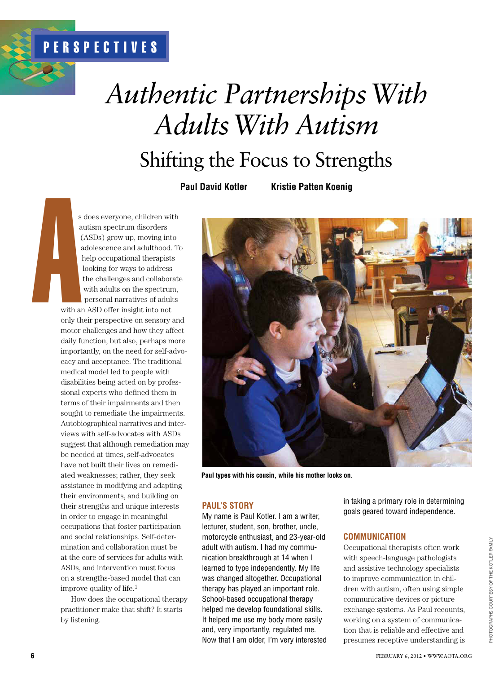# *Authentic Partnerships With Adults With Autism*

Shifting the Focus to Strengths

**Paul David Kotler Kristie Patten Koenig**

s does everyone, children with autism spectrum disorders (ASDs) grow up, moving into adolescence and adulthood. To help occupational therapists looking for ways to address the challenges and collaborate with adults on the spectrum, personal narratives of adults

with an ASD offer insight into not only their perspective on sensory and motor challenges and how they affect daily function, but also, perhaps more importantly, on the need for self-advocacy and acceptance. The traditional medical model led to people with disabilities being acted on by professional experts who defined them in terms of their impairments and then sought to remediate the impairments. Autobiographical narratives and interviews with self-advocates with ASDs suggest that although remediation may be needed at times, self-advocates have not built their lives on remediated weaknesses; rather, they seek assistance in modifying and adapting their environments, and building on their strengths and unique interests in order to engage in meaningful occupations that foster participation and social relationships. Self-determination and collaboration must be at the core of services for adults with ASDs, and intervention must focus on a strengths-based model that can improve quality of life. $<sup>1</sup>$ </sup> s<br>
a<br>
with a<br>
only ti

How does the occupational therapy practitioner make that shift? It starts by listening.



**Paul types with his cousin, while his mother looks on.** 

#### **Paul's Story**

My name is Paul Kotler. I am a writer, lecturer, student, son, brother, uncle, motorcycle enthusiast, and 23-year-old adult with autism. I had my communication breakthrough at 14 when I learned to type independently. My life was changed altogether. Occupational therapy has played an important role. School-based occupational therapy helped me develop foundational skills. It helped me use my body more easily and, very importantly, regulated me. Now that I am older, I'm very interested in taking a primary role in determining goals geared toward independence.

#### **Communication**

Occupational therapists often work with speech-language pathologists and assistive technology specialists to improve communication in children with autism, often using simple communicative devices or picture exchange systems. As Paul recounts, working on a system of communication that is reliable and effective and presumes receptive understanding is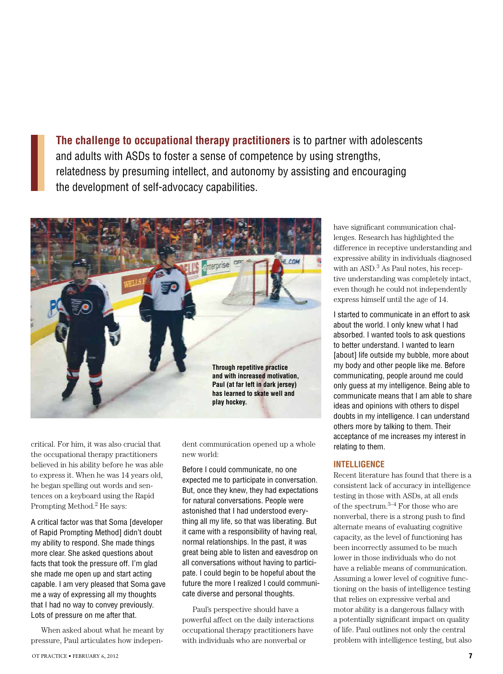**The challenge to occupational therapy practitioners** is to partner with adolescents and adults with ASDs to foster a sense of competence by using strengths, relatedness by presuming intellect, and autonomy by assisting and encouraging the development of self-advocacy capabilities.



critical. For him, it was also crucial that the occupational therapy practitioners believed in his ability before he was able to express it. When he was 14 years old, he began spelling out words and sentences on a keyboard using the Rapid Prompting Method.2 He says:

A critical factor was that Soma [developer of Rapid Prompting Method] didn't doubt my ability to respond. She made things more clear. She asked questions about facts that took the pressure off. I'm glad she made me open up and start acting capable. I am very pleased that Soma gave me a way of expressing all my thoughts that I had no way to convey previously. Lots of pressure on me after that.

When asked about what he meant by pressure, Paul articulates how indepen-

dent communication opened up a whole new world:

Before I could communicate, no one expected me to participate in conversation. But, once they knew, they had expectations for natural conversations. People were astonished that I had understood everything all my life, so that was liberating. But it came with a responsibility of having real, normal relationships. In the past, it was great being able to listen and eavesdrop on all conversations without having to participate. I could begin to be hopeful about the future the more I realized I could communicate diverse and personal thoughts.

Paul's perspective should have a powerful affect on the daily interactions occupational therapy practitioners have with individuals who are nonverbal or

have significant communication challenges. Research has highlighted the difference in receptive understanding and expressive ability in individuals diagnosed with an ASD.<sup>3</sup> As Paul notes, his receptive understanding was completely intact, even though he could not independently express himself until the age of 14.

I started to communicate in an effort to ask about the world. I only knew what I had absorbed. I wanted tools to ask questions to better understand. I wanted to learn [about] life outside my bubble, more about my body and other people like me. Before communicating, people around me could only guess at my intelligence. Being able to communicate means that I am able to share ideas and opinions with others to dispel doubts in my intelligence. I can understand others more by talking to them. Their acceptance of me increases my interest in relating to them.

#### **Intelligence**

Recent literature has found that there is a consistent lack of accuracy in intelligence testing in those with ASDs, at all ends of the spectrum.3–4 For those who are nonverbal, there is a strong push to find alternate means of evaluating cognitive capacity, as the level of functioning has been incorrectly assumed to be much lower in those individuals who do not have a reliable means of communication. Assuming a lower level of cognitive functioning on the basis of intelligence testing that relies on expressive verbal and motor ability is a dangerous fallacy with a potentially significant impact on quality of life. Paul outlines not only the central problem with intelligence testing, but also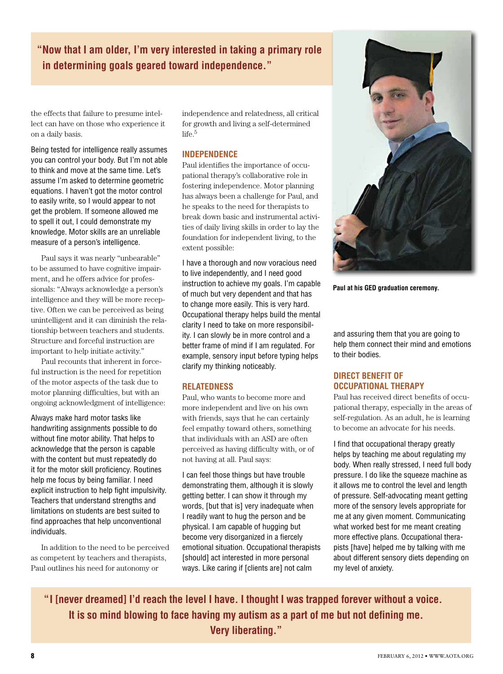**"Now that I am older, I'm very interested in taking a primary role in determining goals geared toward independence."**

the effects that failure to presume intellect can have on those who experience it on a daily basis.

Being tested for intelligence really assumes you can control your body. But I'm not able to think and move at the same time. Let's assume I'm asked to determine geometric equations. I haven't got the motor control to easily write, so I would appear to not get the problem. If someone allowed me to spell it out, I could demonstrate my knowledge. Motor skills are an unreliable measure of a person's intelligence.

Paul says it was nearly "unbearable" to be assumed to have cognitive impairment, and he offers advice for professionals: "Always acknowledge a person's intelligence and they will be more receptive. Often we can be perceived as being unintelligent and it can diminish the relationship between teachers and students. Structure and forceful instruction are important to help initiate activity."

Paul recounts that inherent in forceful instruction is the need for repetition of the motor aspects of the task due to motor planning difficulties, but with an ongoing acknowledgment of intelligence:

Always make hard motor tasks like handwriting assignments possible to do without fine motor ability. That helps to acknowledge that the person is capable with the content but must repeatedly do it for the motor skill proficiency. Routines help me focus by being familiar. I need explicit instruction to help fight impulsivity. Teachers that understand strengths and limitations on students are best suited to find approaches that help unconventional individuals.

In addition to the need to be perceived as competent by teachers and therapists, Paul outlines his need for autonomy or

independence and relatedness, all critical for growth and living a self-determined life.5

#### **Independence**

Paul identifies the importance of occupational therapy's collaborative role in fostering independence. Motor planning has always been a challenge for Paul, and he speaks to the need for therapists to break down basic and instrumental activities of daily living skills in order to lay the foundation for independent living, to the extent possible:

I have a thorough and now voracious need to live independently, and I need good instruction to achieve my goals. I'm capable of much but very dependent and that has to change more easily. This is very hard. Occupational therapy helps build the mental clarity I need to take on more responsibility. I can slowly be in more control and a better frame of mind if I am regulated. For example, sensory input before typing helps clarify my thinking noticeably.

#### **Relatedness**

Paul, who wants to become more and more independent and live on his own with friends, says that he can certainly feel empathy toward others, something that individuals with an ASD are often perceived as having difficulty with, or of not having at all. Paul says:

I can feel those things but have trouble demonstrating them, although it is slowly getting better. I can show it through my words, [but that is] very inadequate when I readily want to hug the person and be physical. I am capable of hugging but become very disorganized in a fiercely emotional situation. Occupational therapists [should] act interested in more personal ways. Like caring if [clients are] not calm



**Paul at his GED graduation ceremony.**

and assuring them that you are going to help them connect their mind and emotions to their bodies.

#### **Direct Benefit of Occupational Therapy**

Paul has received direct benefits of occupational therapy, especially in the areas of self-regulation. As an adult, he is learning to become an advocate for his needs.

I find that occupational therapy greatly helps by teaching me about regulating my body. When really stressed, I need full body pressure. I do like the squeeze machine as it allows me to control the level and length of pressure. Self-advocating meant getting more of the sensory levels appropriate for me at any given moment. Communicating what worked best for me meant creating more effective plans. Occupational therapists [have] helped me by talking with me about different sensory diets depending on my level of anxiety.

**"I [never dreamed] I'd reach the level I have. I thought I was trapped forever without a voice. It is so mind blowing to face having my autism as a part of me but not defining me. Very liberating."**